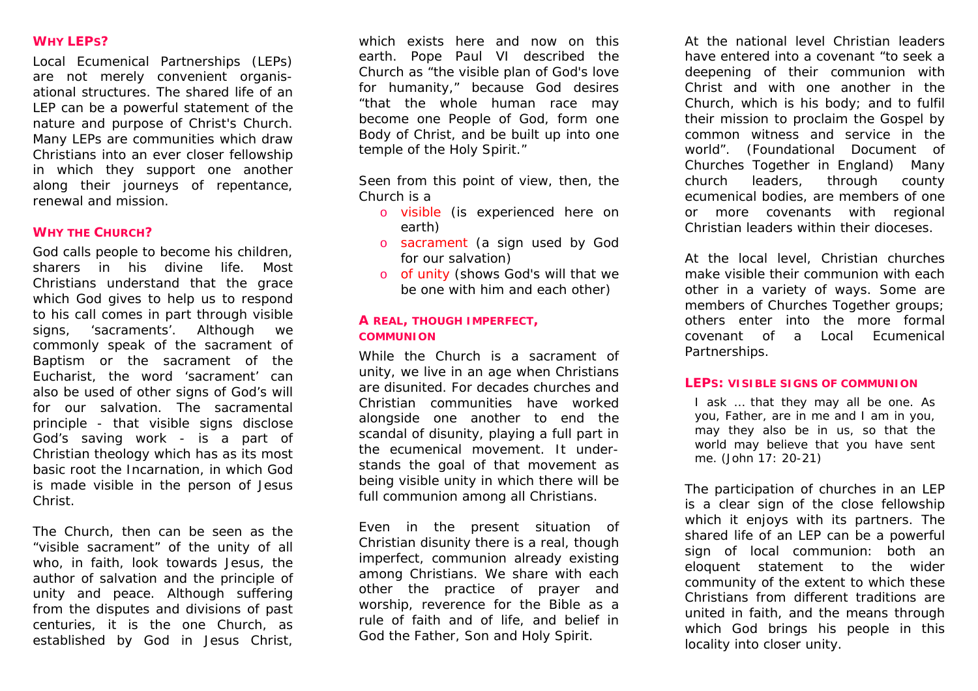## **WHY LEPS?**

Local Ecumenical Partnerships (LEPs) are not merely convenient organisational structures. The shared life of an LEP can be a powerful statement of the nature and purpose of Christ's Church. Many LEPs are communities which draw Christians into an ever closer fellowship in which they support one another along their journeys of repentance, renewal and mission.

#### **WHY THE CHURCH?**

God calls people to become his children, sharers in his divine life. Most Christians understand that the grace which God gives to help us to respond to his call comes in part through visible signs, 'sacraments'. Although we commonly speak of the sacrament of Baptism or the sacrament of the Eucharist, the word 'sacrament' can also be used of other signs of God's will for our salvation. The sacramental principle - that visible signs disclose God's saving work - is a part of Christian theology which has as its most basic root the Incarnation, in which God is made visible in the person of Jesus Christ.

The Church, then can be seen as the "visible sacrament" of the unity of all who, in faith, look towards Jesus, the author of salvation and the principle of unity and peace. Although suffering from the disputes and divisions of past centuries, it is the one Church, as established by God in Jesus Christ,

which exists here and now on this earth. Pope Paul VI described the Church as "the visible plan of God's love for humanity," because God desires "that the whole human race may become one People of God, form one Body of Christ, and be built up into one temple of the Holy Spirit."

Seen from this point of view, then, the Church is a

- o visible (is experienced here on earth)
- <sup>o</sup>sacrament (a sign used by God for our salvation)
- o of unity (shows God's will that we be one with him and each other)

## **A REAL, THOUGH IMPERFECT, COMMUNION**

While the Church is a sacrament of unity, we live in an age when Christians are disunited. For decades churches and Christian communities have worked alongside one another to end the scandal of disunity, playing a full part in the ecumenical movement. It understands the goal of that movement as being visible unity in which there will be full communion among all Christians.

Even in the present situation of Christian disunity there is a real, though imperfect, communion already existing among Christians. We share with each other the practice of prayer and worship, reverence for the Bible as a rule of faith and of life, and belief in God the Father, Son and Holy Spirit.

At the national level Christian leaders have entered into a covenant "to seek a deepening of their communion with Christ and with one another in the Church, which is his body; and to fulfil their mission to proclaim the Gospel by common witness and service in the world". (*Foundational Document of Churches Together in England*) Many church leaders, through county ecumenical bodies, are members of one or more covenants with regional Christian leaders within their dioceses.

At the local level, Christian churches make visible their communion with each other in a variety of ways. Some are members of Churches Together groups; others enter into the more formal covenant of a Local Ecumenical Partnerships.

#### **LEPS: VISIBLE SIGNS OF COMMUNION**

I ask … that they may all be one. As you, Father, are in me and I am in you, may they also be in us, so that the world may believe that you have sent me. (*John 17: 20-21*)

The participation of churches in an LEP is a clear sign of the close fellowship which it enjoys with its partners. The shared life of an LEP can be a powerful sign of local communion: both an eloquent statement to the wider community of the extent to which these Christians from different traditions are united in faith, and the means through which God brings his people in this locality into closer unity.